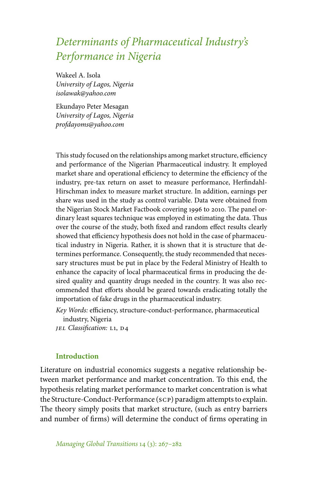# *Determinants of Pharmaceutical Industry's Performance in Nigeria*

Wakeel A. Isola *University of Lagos, Nigeria isolawak@yahoo.com*

Ekundayo Peter Mesagan *University of Lagos, Nigeria profdayoms@yahoo.com*

This study focused on the relationships among market structure, efficiency and performance of the Nigerian Pharmaceutical industry. It employed market share and operational efficiency to determine the efficiency of the industry, pre-tax return on asset to measure performance, Herfindahl-Hirschman index to measure market structure. In addition, earnings per share was used in the study as control variable. Data were obtained from the Nigerian Stock Market Factbook covering 1996 to 2010. The panel ordinary least squares technique was employed in estimating the data. Thus over the course of the study, both fixed and random effect results clearly showed that efficiency hypothesis does not hold in the case of pharmaceutical industry in Nigeria. Rather, it is shown that it is structure that determines performance. Consequently, the study recommended that necessary structures must be put in place by the Federal Ministry of Health to enhance the capacity of local pharmaceutical firms in producing the desired quality and quantity drugs needed in the country. It was also recommended that efforts should be geared towards eradicating totally the importation of fake drugs in the pharmaceutical industry.

*Key Words:* efficiency, structure-conduct-performance, pharmaceutical industry, Nigeria

*JEL Classification: L1, D4* 

# **Introduction**

Literature on industrial economics suggests a negative relationship between market performance and market concentration. To this end, the hypothesis relating market performance to market concentration is what the Structure-Conduct-Performance (scp) paradigm attempts to explain. The theory simply posits that market structure, (such as entry barriers and number of firms) will determine the conduct of firms operating in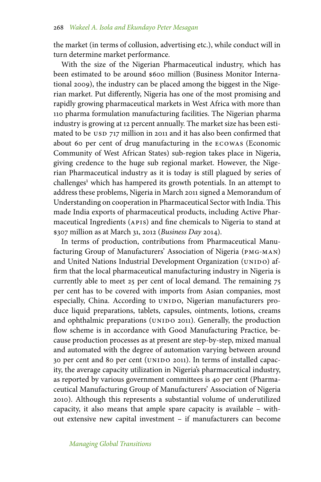the market (in terms of collusion, advertising etc.), while conduct will in turn determine market performance.

With the size of the Nigerian Pharmaceutical industry, which has been estimated to be around \$600 million (Business Monitor International 2009), the industry can be placed among the biggest in the Nigerian market. Put differently, Nigeria has one of the most promising and rapidly growing pharmaceutical markets in West Africa with more than 110 pharma formulation manufacturing facilities. The Nigerian pharma industry is growing at 12 percent annually. The market size has been estimated to be USD 717 million in 2011 and it has also been confirmed that about 60 per cent of drug manufacturing in the ecowas (Economic Community of West African States) sub-region takes place in Nigeria, giving credence to the huge sub regional market. However, the Nigerian Pharmaceutical industry as it is today is still plagued by series of challenges<sup>1</sup> which has hampered its growth potentials. In an attempt to address these problems, Nigeria in March 2011 signed a Memorandum of Understanding on cooperation in Pharmaceutical Sector with India. This made India exports of pharmaceutical products, including Active Pharmaceutical Ingredients (APIS) and fine chemicals to Nigeria to stand at \$307 million as at March 31, 2012 (*Business Day* 2014).

In terms of production, contributions from Pharmaceutical Manufacturing Group of Manufacturers' Association of Nigeria (pmg-man) and United Nations Industrial Development Organization (UNIDO) affirm that the local pharmaceutical manufacturing industry in Nigeria is currently able to meet 25 per cent of local demand. The remaining 75 per cent has to be covered with imports from Asian companies, most especially, China. According to UNIDO, Nigerian manufacturers produce liquid preparations, tablets, capsules, ointments, lotions, creams and ophthalmic preparations (UNIDO 2011). Generally, the production flow scheme is in accordance with Good Manufacturing Practice, because production processes as at present are step-by-step, mixed manual and automated with the degree of automation varying between around 30 per cent and 80 per cent (UNIDO 2011). In terms of installed capacity, the average capacity utilization in Nigeria's pharmaceutical industry, as reported by various government committees is 40 per cent (Pharmaceutical Manufacturing Group of Manufacturers' Association of Nigeria 2010). Although this represents a substantial volume of underutilized capacity, it also means that ample spare capacity is available – without extensive new capital investment – if manufacturers can become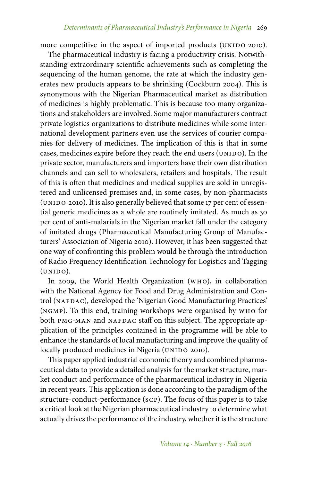more competitive in the aspect of imported products (UNIDO 2010).

The pharmaceutical industry is facing a productivity crisis. Notwithstanding extraordinary scientific achievements such as completing the sequencing of the human genome, the rate at which the industry generates new products appears to be shrinking (Cockburn 2004). This is synonymous with the Nigerian Pharmaceutical market as distribution of medicines is highly problematic. This is because too many organizations and stakeholders are involved. Some major manufacturers contract private logistics organizations to distribute medicines while some international development partners even use the services of courier companies for delivery of medicines. The implication of this is that in some cases, medicines expire before they reach the end users (UNIDO). In the private sector, manufacturers and importers have their own distribution channels and can sell to wholesalers, retailers and hospitals. The result of this is often that medicines and medical supplies are sold in unregistered and unlicensed premises and, in some cases, by non-pharmacists (UNIDO 2010). It is also generally believed that some 17 per cent of essential generic medicines as a whole are routinely imitated. As much as 30 per cent of anti-malarials in the Nigerian market fall under the category of imitated drugs (Pharmaceutical Manufacturing Group of Manufacturers' Association of Nigeria 2010). However, it has been suggested that one way of confronting this problem would be through the introduction of Radio Frequency Identification Technology for Logistics and Tagging  $(UNIDO).$ 

In 2009, the World Health Organization (who), in collaboration with the National Agency for Food and Drug Administration and Control (NAFDAC), developed the 'Nigerian Good Manufacturing Practices' (ngmp). To this end, training workshops were organised by who for both PMG-MAN and NAFDAC staff on this subject. The appropriate application of the principles contained in the programme will be able to enhance the standards of local manufacturing and improve the quality of locally produced medicines in Nigeria (UNIDO 2010).

This paper applied industrial economic theory and combined pharmaceutical data to provide a detailed analysis for the market structure, market conduct and performance of the pharmaceutical industry in Nigeria in recent years. This application is done according to the paradigm of the structure-conduct-performance (scp). The focus of this paper is to take a critical look at the Nigerian pharmaceutical industry to determine what actually drives the performance of the industry, whether it is the structure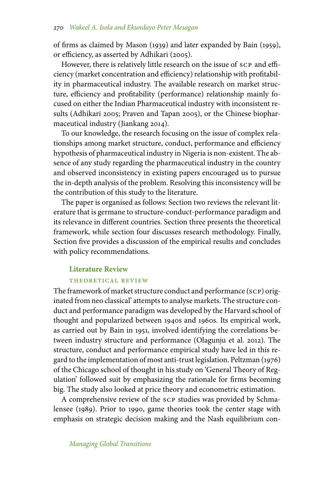of firms as claimed by Mason (1939) and later expanded by Bain (1959), or efficiency, as asserted by Adhikari (2005).

However, there is relatively little research on the issue of scp and efficiency (market concentration and efficiency) relationship with profitability in pharmaceutical industry. The available research on market structure, efficiency and profitability (performance) relationship mainly focused on either the Indian Pharmaceutical industry with inconsistent results (Adhikari 2005; Praven and Tapan 2005), or the Chinese biopharmaceutical industry (Jiankang 2014).

To our knowledge, the research focusing on the issue of complex relationships among market structure, conduct, performance and efficiency hypothesis of pharmaceutical industry in Nigeria is non-existent. The absence of any study regarding the pharmaceutical industry in the country and observed inconsistency in existing papers encouraged us to pursue the in-depth analysis of the problem. Resolving this inconsistency will be the contribution of this study to the literature.

The paper is organised as follows: Section two reviews the relevant literature that is germane to structure-conduct-performance paradigm and its relevance in different countries. Section three presents the theoretical framework, while section four discusses research methodology. Finally, Section five provides a discussion of the empirical results and concludes with policy recommendations.

# **Literature Review**

## THEORETICAL REVIEW

The framework of market structure conduct and performance (scp) originated from neo classical' attempts to analyse markets. The structure conduct and performance paradigm was developed by the Harvard school of thought and popularized between 1940s and 1960s. Its empirical work, as carried out by Bain in 1951, involved identifying the correlations between industry structure and performance (Olagunju et al. 2012). The structure, conduct and performance empirical study have led in this regard to the implementation of most anti-trust legislation. Peltzman (1976) of the Chicago school of thought in his study on 'General Theory of Regulation' followed suit by emphasizing the rationale for firms becoming big. The study also looked at price theory and econometric estimation.

A comprehensive review of the scp studies was provided by Schmalensee (1989). Prior to 1990, game theories took the center stage with emphasis on strategic decision making and the Nash equilibrium con-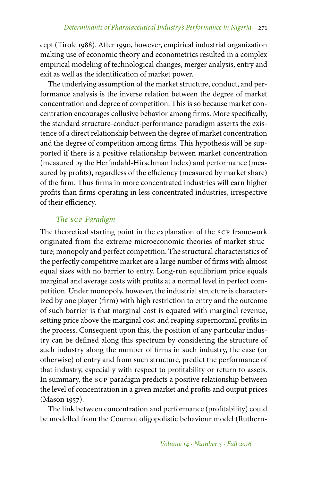cept (Tirole 1988). After 1990, however, empirical industrial organization making use of economic theory and econometrics resulted in a complex empirical modeling of technological changes, merger analysis, entry and exit as well as the identification of market power.

The underlying assumption of the market structure, conduct, and performance analysis is the inverse relation between the degree of market concentration and degree of competition. This is so because market concentration encourages collusive behavior among firms. More specifically, the standard structure-conduct-performance paradigm asserts the existence of a direct relationship between the degree of market concentration and the degree of competition among firms. This hypothesis will be supported if there is a positive relationship between market concentration (measured by the Herfindahl-Hirschman Index) and performance (measured by profits), regardless of the efficiency (measured by market share) of the firm. Thus firms in more concentrated industries will earn higher profits than firms operating in less concentrated industries, irrespective of their efficiency.

# *The scp Paradigm*

The theoretical starting point in the explanation of the scp framework originated from the extreme microeconomic theories of market structure; monopoly and perfect competition. The structural characteristics of the perfectly competitive market are a large number of firms with almost equal sizes with no barrier to entry. Long-run equilibrium price equals marginal and average costs with profits at a normal level in perfect competition. Under monopoly, however, the industrial structure is characterized by one player (firm) with high restriction to entry and the outcome of such barrier is that marginal cost is equated with marginal revenue, setting price above the marginal cost and reaping supernormal profits in the process. Consequent upon this, the position of any particular industry can be defined along this spectrum by considering the structure of such industry along the number of firms in such industry, the ease (or otherwise) of entry and from such structure, predict the performance of that industry, especially with respect to profitability or return to assets. In summary, the scp paradigm predicts a positive relationship between the level of concentration in a given market and profits and output prices (Mason 1957).

The link between concentration and performance (profitability) could be modelled from the Cournot oligopolistic behaviour model (Ruthern-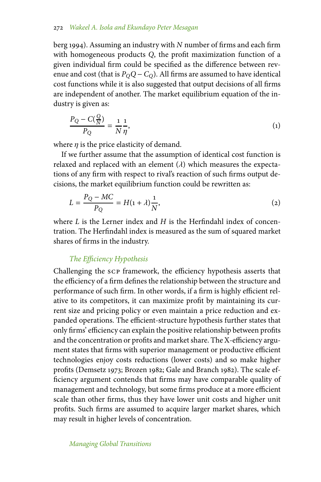# 272 *Wakeel A. Isola and Ekundayo Peter Mesagan*

berg 1994). Assuming an industry with *N* number of firms and each firm with homogeneous products *Q*, the profit maximization function of a given individual firm could be specified as the difference between revenue and cost (that is  $P_0Q - C_0$ ). All firms are assumed to have identical cost functions while it is also suggested that output decisions of all firms are independent of another. The market equilibrium equation of the industry is given as:

$$
\frac{P_Q - C(\frac{Q}{N})}{P_Q} = \frac{1}{N} \frac{1}{\eta},\tag{1}
$$

where  $\eta$  is the price elasticity of demand.

If we further assume that the assumption of identical cost function is relaxed and replaced with an element  $(\lambda)$  which measures the expectations of any firm with respect to rival's reaction of such firms output decisions, the market equilibrium function could be rewritten as:

$$
L = \frac{P_Q - MC}{P_Q} = H(1 + \lambda)\frac{1}{N},
$$
\n(2)

where *L* is the Lerner index and *H* is the Herfindahl index of concentration. The Herfindahl index is measured as the sum of squared market shares of firms in the industry.

# *The Efficiency Hypothesis*

Challenging the scp framework, the efficiency hypothesis asserts that the efficiency of a firm defines the relationship between the structure and performance of such firm. In other words, if a firm is highly efficient relative to its competitors, it can maximize profit by maintaining its current size and pricing policy or even maintain a price reduction and expanded operations. The efficient-structure hypothesis further states that only firms' efficiency can explain the positive relationship between profits and the concentration or profits and market share. The X-efficiency argument states that firms with superior management or productive efficient technologies enjoy costs reductions (lower costs) and so make higher profits (Demsetz 1973; Brozen 1982; Gale and Branch 1982). The scale efficiency argument contends that firms may have comparable quality of management and technology, but some firms produce at a more efficient scale than other firms, thus they have lower unit costs and higher unit profits. Such firms are assumed to acquire larger market shares, which may result in higher levels of concentration.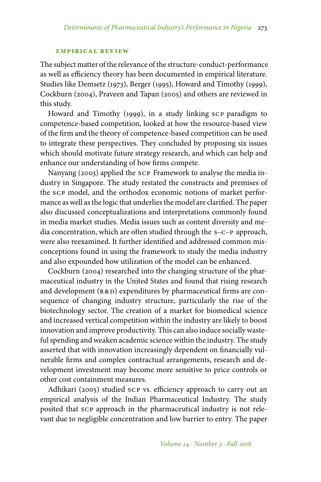#### **empirical review**

The subject matter of the relevance of the structure-conduct-performance as well as efficiency theory has been documented in empirical literature. Studies like Demsetz (1973), Berger (1995), Howard and Timothy (1999), Cockburn (2004), Praveen and Tapan (2005) and others are reviewed in this study.

Howard and Timothy (1999), in a study linking scp paradigm to competence-based competition, looked at how the resource-based view of the firm and the theory of competence-based competition can be used to integrate these perspectives. They concluded by proposing six issues which should motivate future strategy research, and which can help and enhance our understanding of how firms compete.

Nanyang (2003) applied the scp Framework to analyse the media industry in Singapore. The study restated the constructs and premises of the scp model, and the orthodox economic notions of market performance as well as the logic that underlies the model are clarified. The paper also discussed conceptualizations and interpretations commonly found in media market studies. Media issues such as content diversity and media concentration, which are often studied through the s–c–p approach, were also reexamined. It further identified and addressed common misconceptions found in using the framework to study the media industry and also expounded how utilization of the model can be enhanced.

Cockburn (2004) researched into the changing structure of the pharmaceutical industry in the United States and found that rising research and development  $(R&D)$  expenditures by pharmaceutical firms are consequence of changing industry structure, particularly the rise of the biotechnology sector. The creation of a market for biomedical science and increased vertical competition within the industry are likely to boost innovation and improve productivity. This can also induce socially wasteful spending and weaken academic science within the industry. The study asserted that with innovation increasingly dependent on financially vulnerable firms and complex contractual arrangements, research and development investment may become more sensitive to price controls or other cost containment measures.

Adhikari (2005) studied scp vs. efficiency approach to carry out an empirical analysis of the Indian Pharmaceutical Industry. The study posited that scp approach in the pharmaceutical industry is not relevant due to negligible concentration and low barrier to entry. The paper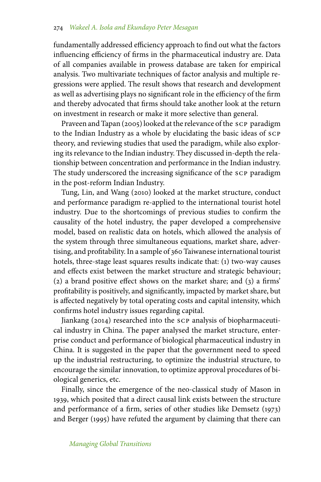fundamentally addressed efficiency approach to find out what the factors influencing efficiency of firms in the pharmaceutical industry are. Data of all companies available in prowess database are taken for empirical analysis. Two multivariate techniques of factor analysis and multiple regressions were applied. The result shows that research and development as well as advertising plays no significant role in the efficiency of the firm and thereby advocated that firms should take another look at the return on investment in research or make it more selective than general.

Praveen and Tapan (2005) looked at the relevance of the scp paradigm to the Indian Industry as a whole by elucidating the basic ideas of scp theory, and reviewing studies that used the paradigm, while also exploring its relevance to the Indian industry. They discussed in-depth the relationship between concentration and performance in the Indian industry. The study underscored the increasing significance of the scp paradigm in the post-reform Indian Industry.

Tung, Lin, and Wang (2010) looked at the market structure, conduct and performance paradigm re-applied to the international tourist hotel industry. Due to the shortcomings of previous studies to confirm the causality of the hotel industry, the paper developed a comprehensive model, based on realistic data on hotels, which allowed the analysis of the system through three simultaneous equations, market share, advertising, and profitability. In a sample of 360 Taiwanese international tourist hotels, three-stage least squares results indicate that: (1) two-way causes and effects exist between the market structure and strategic behaviour; (2) a brand positive effect shows on the market share; and (3) a firms' profitability is positively, and significantly, impacted by market share, but is affected negatively by total operating costs and capital intensity, which confirms hotel industry issues regarding capital.

Jiankang (2014) researched into the scp analysis of biopharmaceutical industry in China. The paper analysed the market structure, enterprise conduct and performance of biological pharmaceutical industry in China. It is suggested in the paper that the government need to speed up the industrial restructuring, to optimize the industrial structure, to encourage the similar innovation, to optimize approval procedures of biological generics, etc.

Finally, since the emergence of the neo-classical study of Mason in 1939, which posited that a direct causal link exists between the structure and performance of a firm, series of other studies like Demsetz (1973) and Berger (1995) have refuted the argument by claiming that there can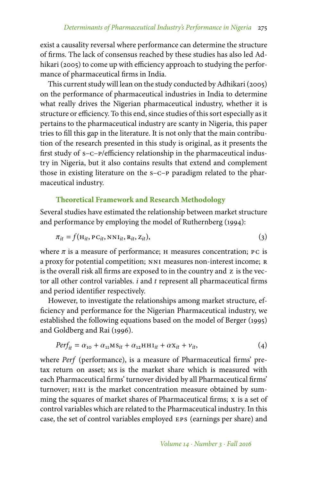exist a causality reversal where performance can determine the structure of firms. The lack of consensus reached by these studies has also led Adhikari (2005) to come up with efficiency approach to studying the performance of pharmaceutical firms in India.

This current study will lean on the study conducted by Adhikari (2005) on the performance of pharmaceutical industries in India to determine what really drives the Nigerian pharmaceutical industry, whether it is structure or efficiency. To this end, since studies of this sort especially as it pertains to the pharmaceutical industry are scanty in Nigeria, this paper tries to fill this gap in the literature. It is not only that the main contribution of the research presented in this study is original, as it presents the first study of s–c–p/efficiency relationship in the pharmaceutical industry in Nigeria, but it also contains results that extend and complement those in existing literature on the s–c–p paradigm related to the pharmaceutical industry.

# **Theoretical Framework and Research Methodology**

Several studies have estimated the relationship between market structure and performance by employing the model of Ruthernberg (1994):

$$
\pi_{it} = f(\mathbf{H}_{it}, \mathbf{P} \mathbf{C}_{it}, \mathbf{N} \mathbf{N} \mathbf{I}_{it}, \mathbf{R}_{it}, \mathbf{Z}_{it}),
$$
\n(3)

where  $\pi$  is a measure of performance; H measures concentration; PC is a proxy for potential competition; NNI measures non-interest income; R is the overall risk all firms are exposed to in the country and z is the vector all other control variables. *i* and *t* represent all pharmaceutical firms and period identifier respectively.

However, to investigate the relationships among market structure, efficiency and performance for the Nigerian Pharmaceutical industry, we established the following equations based on the model of Berger (1995) and Goldberg and Rai (1996).

$$
Perf_{it} = \alpha_{10} + \alpha_{11}MS_{it} + \alpha_{12}HHI_{it} + \alpha X_{it} + \nu_{it},
$$
\n(4)

where *Perf* (performance), is a measure of Pharmaceutical firms' pretax return on asset; ms is the market share which is measured with each Pharmaceutical firms' turnover divided by all Pharmaceutical firms' turnover; HHI is the market concentration measure obtained by summing the squares of market shares of Pharmaceutical firms; x is a set of control variables which are related to the Pharmaceutical industry. In this case, the set of control variables employed eps (earnings per share) and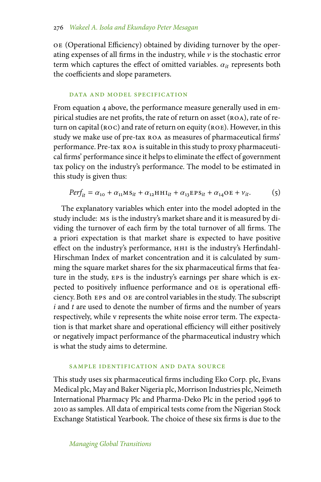oe (Operational Efficiency) obtained by dividing turnover by the operating expenses of all firms in the industry, while  $\nu$  is the stochastic error term which captures the effect of omitted variables.  $\alpha_{it}$  represents both the coefficients and slope parameters.

## data and model specification

From equation 4 above, the performance measure generally used in empirical studies are net profits, the rate of return on asset (ROA), rate of return on capital  $(ROC)$  and rate of return on equity  $(ROE)$ . However, in this study we make use of pre-tax roa as measures of pharmaceutical firms' performance. Pre-tax roa is suitable in this study to proxy pharmaceutical firms' performance since it helps to eliminate the effect of government tax policy on the industry's performance. The model to be estimated in this study is given thus:

$$
Perf_{it} = \alpha_{10} + \alpha_{11}MS_{it} + \alpha_{12}HHI_{it} + \alpha_{13}EPS_{it} + \alpha_{14}OE + \nu_{it}. \tag{5}
$$

The explanatory variables which enter into the model adopted in the study include: ms is the industry's market share and it is measured by dividing the turnover of each firm by the total turnover of all firms. The a priori expectation is that market share is expected to have positive effect on the industry's performance, нн1 is the industry's Herfindahl-Hirschman Index of market concentration and it is calculated by summing the square market shares for the six pharmaceutical firms that feature in the study, eps is the industry's earnings per share which is expected to positively influence performance and oe is operational efficiency. Both eps and oe are control variables in the study. The subscript *i* and *t* are used to denote the number of firms and the number of years respectively, while v represents the white noise error term. The expectation is that market share and operational efficiency will either positively or negatively impact performance of the pharmaceutical industry which is what the study aims to determine.

## sample identification and data source

This study uses six pharmaceutical firms including Eko Corp. plc, Evans Medical plc, May and Baker Nigeria plc, Morrison Industries plc, Neimeth International Pharmacy Plc and Pharma-Deko Plc in the period 1996 to 2010 as samples. All data of empirical tests come from the Nigerian Stock Exchange Statistical Yearbook. The choice of these six firms is due to the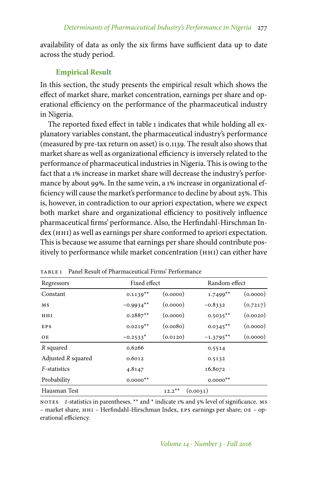availability of data as only the six firms have sufficient data up to date across the study period.

# **Empirical Result**

In this section, the study presents the empirical result which shows the effect of market share, market concentration, earnings per share and operational efficiency on the performance of the pharmaceutical industry in Nigeria.

The reported fixed effect in table 1 indicates that while holding all explanatory variables constant, the pharmaceutical industry's performance (measured by pre-tax return on asset) is 0.1139. The result also shows that market share as well as organizational efficiency is inversely related to the performance of pharmaceutical industries in Nigeria. This is owing to the fact that a 1% increase in market share will decrease the industry's performance by about 99%. In the same vein, a 1% increase in organizational efficiency will cause the market's performance to decline by about 25%. This is, however, in contradiction to our apriori expectation, where we expect both market share and organizational efficiency to positively influence pharmaceutical firms' performance. Also, the Herfindahl-Hirschman Index (HHI) as well as earnings per share conformed to apriori expectation. This is because we assume that earnings per share should contribute positively to performance while market concentration (hhi) can either have

| Regressors         |                        | Fixed effect |             | Random effect |  |
|--------------------|------------------------|--------------|-------------|---------------|--|
| Constant           | $0.1139**$             | (0.0000)     | $1.7499**$  | (0.0000)      |  |
| МS                 | $-0.9934**$            | (0.0000)     | $-0.8332$   | (0.7217)      |  |
| HHI                | $0.2887**$             | (0.0000)     | $0.5035**$  | (0.0020)      |  |
| EPS                | $0.0219**$             | (0.0080)     | $0.0345**$  | (0.0000)      |  |
| OE                 | $-0.2533*$             | (0.0120)     | $-1.3795**$ | (0.0000)      |  |
| R squared          | 0.6266                 |              | 0.5514      |               |  |
| Adjusted R squared | 0.6012                 |              | 0.5132      |               |  |
| F-statistics       | 4.8147                 |              | 16.8072     |               |  |
| Probability        | $0.0000$ <sup>**</sup> |              | $0.0000**$  |               |  |
| Hausman Test       |                        | $12.2**$     | (0.0031)    |               |  |

table 1 Panel Result of Pharmaceutical Firms' Performance

notes *t*-statistics in parentheses. \*\* and \* indicate 1% and 5% level of significance. Ms – market share, hhi – Herfindahl-Hirschman Index, eps earnings per share; oe – operational efficiency.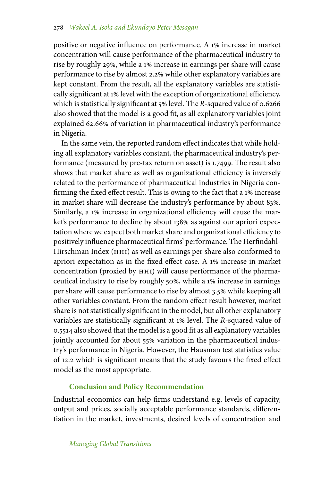positive or negative influence on performance. A 1% increase in market concentration will cause performance of the pharmaceutical industry to rise by roughly 29%, while a 1% increase in earnings per share will cause performance to rise by almost 2.2 while other explanatory variables are kept constant. From the result, all the explanatory variables are statistically significant at 1% level with the exception of organizational efficiency, which is statistically significant at 5% level. The *R*-squared value of 0.6266 also showed that the model is a good fit, as all explanatory variables joint explained 62.66% of variation in pharmaceutical industry's performance in Nigeria.

In the same vein, the reported random effect indicates that while holding all explanatory variables constant, the pharmaceutical industry's performance (measured by pre-tax return on asset) is 1.7499. The result also shows that market share as well as organizational efficiency is inversely related to the performance of pharmaceutical industries in Nigeria confirming the fixed effect result. This is owing to the fact that a 1% increase in market share will decrease the industry's performance by about 83%. Similarly, a 1% increase in organizational efficiency will cause the market's performance to decline by about 138% as against our apriori expectation where we expect both market share and organizational efficiency to positively influence pharmaceutical firms' performance. The Herfindahl-Hirschman Index (HHI) as well as earnings per share also conformed to apriori expectation as in the fixed effect case. A  $1\%$  increase in market concentration (proxied by HHI) will cause performance of the pharmaceutical industry to rise by roughly 50%, while a 1% increase in earnings per share will cause performance to rise by almost 3.5 while keeping all other variables constant. From the random effect result however, market share is not statistically significant in the model, but all other explanatory variables are statistically significant at 1% level. The *R*-squared value of 0.5514 also showed that the model is a good fit as all explanatory variables jointly accounted for about 55% variation in the pharmaceutical industry's performance in Nigeria. However, the Hausman test statistics value of 12.2 which is significant means that the study favours the fixed effect model as the most appropriate.

# **Conclusion and Policy Recommendation**

Industrial economics can help firms understand e.g. levels of capacity, output and prices, socially acceptable performance standards, differentiation in the market, investments, desired levels of concentration and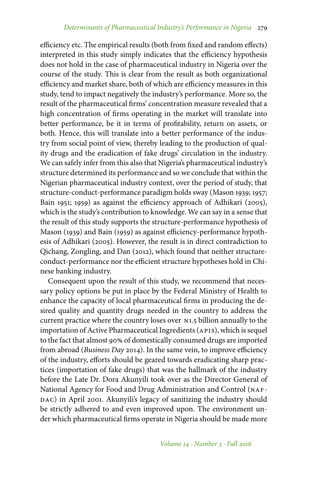efficiency etc. The empirical results (both from fixed and random effects) interpreted in this study simply indicates that the efficiency hypothesis does not hold in the case of pharmaceutical industry in Nigeria over the course of the study. This is clear from the result as both organizational efficiency and market share, both of which are efficiency measures in this study, tend to impact negatively the industry's performance. More so, the result of the pharmaceutical firms' concentration measure revealed that a high concentration of firms operating in the market will translate into better performance, be it in terms of profitability, return on assets, or both. Hence, this will translate into a better performance of the industry from social point of view, thereby leading to the production of quality drugs and the eradication of fake drugs' circulation in the industry. We can safely infer from this also that Nigeria's pharmaceutical industry's structure determined its performance and so we conclude that within the Nigerian pharmaceutical industry context, over the period of study, that structure-conduct-performance paradigm holds sway (Mason 1939; 1957; Bain 1951; 1959) as against the efficiency approach of Adhikari (2005), which is the study's contribution to knowledge. We can say in a sense that the result of this study supports the structure-performance hypothesis of Mason (1939) and Bain (1959) as against efficiency-performance hypothesis of Adhikari (2005). However, the result is in direct contradiction to Qichang, Zongling, and Dan (2012), which found that neither structureconduct-performance nor the efficient structure hypotheses hold in Chinese banking industry.

Consequent upon the result of this study, we recommend that necessary policy options be put in place by the Federal Ministry of Health to enhance the capacity of local pharmaceutical firms in producing the desired quality and quantity drugs needed in the country to address the current practice where the country loses over n1.5 billion annually to the importation of Active Pharmaceutical Ingredients (APIS), which is sequel to the fact that almost 90% of domestically consumed drugs are imported from abroad (*Business Day* 2014). In the same vein, to improve efficiency of the industry, efforts should be geared towards eradicating sharp practices (importation of fake drugs) that was the hallmark of the industry before the Late Dr. Dora Akunyili took over as the Director General of National Agency for Food and Drug Administration and Control (NAFdac) in April 2001. Akunyili's legacy of sanitizing the industry should be strictly adhered to and even improved upon. The environment under which pharmaceutical firms operate in Nigeria should be made more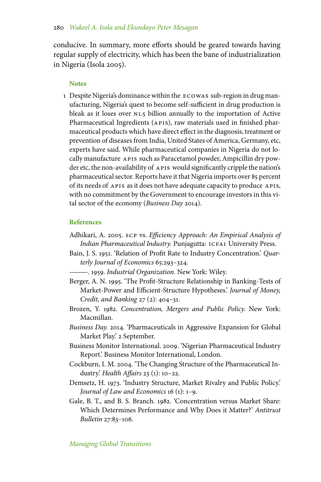conducive. In summary, more efforts should be geared towards having regular supply of electricity, which has been the bane of industrialization in Nigeria (Isola 2005).

## **Notes**

1 Despite Nigeria's dominance within the ecowas sub-region in drug manufacturing, Nigeria's quest to become self-sufficient in drug production is bleak as it loses over N1.5 billion annually to the importation of Active Pharmaceutical Ingredients (APIS), raw materials used in finished pharmaceutical products which have direct effect in the diagnosis, treatment or prevention of diseases from India, United States of America, Germany, etc, experts have said. While pharmaceutical companies in Nigeria do not locally manufacture APIS such as Paracetamol powder, Ampicillin dry powder etc, the non-availability of APIS would significantly cripple the nation's pharmaceutical sector. Reports have it that Nigeria imports over 85 percent of its needs of APIS as it does not have adequate capacity to produce APIS, with no commitment by the Government to encourage investors in this vital sector of the economy (*Business Day* 2014).

# **References**

- Adhikari, A. 2005. scp vs. *Efficiency Approach: An Empirical Analysis of* Indian Pharmaceutical Industry. Punjagutta: ICFAI University Press.
- Bain, J. S. 1951. 'Relation of Profit Rate to Industry Concentration.' *Quarterly Journal of Economics* 65:293–324.

———. 1959. *Industrial Organization.* New York: Wiley.

- Berger, A. N. 1995. 'The Profit-Structure Relationship in Banking-Tests of Market-Power and Efficient-Structure Hypotheses.' *Journal of Money, Credit, and Banking* 27 (2): 404–31.
- Brozen, Y. 1982. *Concentration, Mergers and Public Policy.* New York: Macmillan.
- *Business Day.* 2014. 'Pharmaceuticals in Aggressive Expansion for Global Market Play.' 2 September.
- Business Monitor International. 2009. 'Nigerian Pharmaceutical Industry Report.' Business Monitor International, London.
- Cockburn, I. M. 2004. 'The Changing Structure of the Pharmaceutical Industry.' *Health Affairs* 23 (1): 10–22.
- Demsetz, H. 1973. 'Industry Structure, Market Rivalry and Public Policy.' *Journal of Law and Economics* 16 (1): 1–9.
- Gale, B. T., and B. S. Branch. 1982. 'Concentration versus Market Share: Which Determines Performance and Why Does it Matter?' *Antitrust Bulletin* 27:83–106.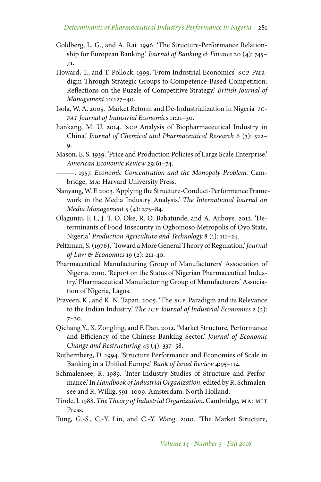- Goldberg, L. G., and A. Rai. 1996. 'The Structure-Performance Relationship for European Banking.' *Journal of Banking & Finance* 20 (4): 745– 71.
- Howard, T., and T. Pollock. 1999. 'From Industrial Economics' scp Paradigm Through Strategic Groups to Competence-Based Competition: Reflections on the Puzzle of Competitive Strategy.' *British Journal of Management* 10:127–40.
- Isola, W. A. 2005. 'Market Reform and De-Industrialization in Nigeria' *icfai Journal of Industrial Economics* 11:21–30.
- Jiankang, M. U. 2014. 'scp Analysis of Biopharmaceutical Industry in China.' *Journal of Chemical and Pharmaceutical Research* 6 (3): 522– 9.
- Mason, E. S. 1939. 'Price and Production Policies of Large Scale Enterprise.' *American Economic Review* 29:61–74.
- ———. 1957. *Economic Concentration and the Monopoly Problem.* Cambridge, ma: Harvard University Press.
- Nanyang,W. F. 2003. 'Applying the Structure-Conduct-Performance Framework in the Media Industry Analysis.' *The International Journal on Media Management* 5 (4): 275–84.
- Olagunju, F. I., J. T. O. Oke, R. O. Babatunde, and A. Ajiboye. 2012. 'Determinants of Food Insecurity in Ogbomoso Metropolis of Oyo State, Nigeria.' *Production Agriculture and Technology* 8 (1): 111–24.
- Peltzman, S. (1976), 'Toward a More General Theory of Regulation.'*Journal of Law & Economics* 19 (2): 211-40.
- Pharmaceutical Manufacturing Group of Manufacturers' Association of Nigeria. 2010. 'Report on the Status of Nigerian Pharmaceutical Industry.' Pharmaceutical Manufacturing Group of Manufacturers' Association of Nigeria, Lagos.
- Praveen, K., and K. N. Tapan. 2005. 'The scp Paradigm and its Relevance to the Indian Industry.' *The iup Journal of Industrial Economics* 2 (2): 7–20.
- Qichang Y., X. Zongling, and F. Dan. 2012. 'Market Structure, Performance and Efficiency of the Chinese Banking Sector.' *Journal of Economic Change and Restructuring* 45 (4): 337–58.
- Ruthernberg, D. 1994. 'Structure Performance and Economies of Scale in Banking in a Unified Europe.' *Bank of Israel Review* 4:95–114.
- Schmalensee, R. 1989. 'Inter-Industry Studies of Structure and Performance.' In *Handbook of Industrial Organization,* edited by R. Schmalensee and R. Willig, 591–1009. Amsterdam: North Holland.
- Tirole, J. 1988. *The Theory of Industrial Organization.*Cambridge, ma: mit Press.
- Tung, G.-S., C.-Y. Lin, and C.-Y. Wang. 2010. 'The Market Structure,